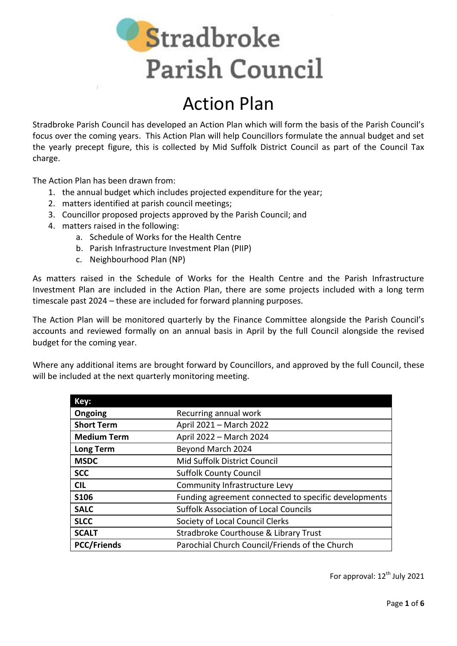Stradbroke **Parish Council** 

# Action Plan

Stradbroke Parish Council has developed an Action Plan which will form the basis of the Parish Council's focus over the coming years. This Action Plan will help Councillors formulate the annual budget and set the yearly precept figure, this is collected by Mid Suffolk District Council as part of the Council Tax charge.

The Action Plan has been drawn from:

- 1. the annual budget which includes projected expenditure for the year;
- 2. matters identified at parish council meetings;
- 3. Councillor proposed projects approved by the Parish Council; and
- 4. matters raised in the following:
	- a. Schedule of Works for the Health Centre
	- b. Parish Infrastructure Investment Plan (PIIP)
	- c. Neighbourhood Plan (NP)

As matters raised in the Schedule of Works for the Health Centre and the Parish Infrastructure Investment Plan are included in the Action Plan, there are some projects included with a long term timescale past 2024 – these are included for forward planning purposes.

The Action Plan will be monitored quarterly by the Finance Committee alongside the Parish Council's accounts and reviewed formally on an annual basis in April by the full Council alongside the revised budget for the coming year.

Where any additional items are brought forward by Councillors, and approved by the full Council, these will be included at the next quarterly monitoring meeting.

| Key:               |                                                      |
|--------------------|------------------------------------------------------|
| Ongoing            | Recurring annual work                                |
| <b>Short Term</b>  | April 2021 - March 2022                              |
| <b>Medium Term</b> | April 2022 - March 2024                              |
| <b>Long Term</b>   | Beyond March 2024                                    |
| <b>MSDC</b>        | Mid Suffolk District Council                         |
| <b>SCC</b>         | <b>Suffolk County Council</b>                        |
| <b>CIL</b>         | Community Infrastructure Levy                        |
| <b>S106</b>        | Funding agreement connected to specific developments |
| <b>SALC</b>        | <b>Suffolk Association of Local Councils</b>         |
| <b>SLCC</b>        | Society of Local Council Clerks                      |
| <b>SCALT</b>       | Stradbroke Courthouse & Library Trust                |
| <b>PCC/Friends</b> | Parochial Church Council/Friends of the Church       |

For approval: 12<sup>th</sup> July 2021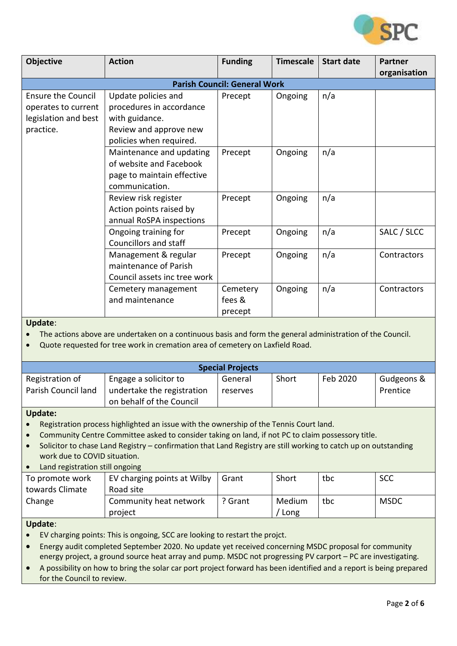

| <b>Objective</b>                    | <b>Action</b>                | <b>Funding</b> | <b>Timescale</b> | <b>Start date</b> | <b>Partner</b> |  |
|-------------------------------------|------------------------------|----------------|------------------|-------------------|----------------|--|
|                                     |                              |                |                  |                   | organisation   |  |
| <b>Parish Council: General Work</b> |                              |                |                  |                   |                |  |
| <b>Ensure the Council</b>           | Update policies and          | Precept        | Ongoing          | n/a               |                |  |
| operates to current                 | procedures in accordance     |                |                  |                   |                |  |
| legislation and best                | with guidance.               |                |                  |                   |                |  |
| practice.                           | Review and approve new       |                |                  |                   |                |  |
|                                     | policies when required.      |                |                  |                   |                |  |
|                                     | Maintenance and updating     | Precept        | Ongoing          | n/a               |                |  |
|                                     | of website and Facebook      |                |                  |                   |                |  |
|                                     | page to maintain effective   |                |                  |                   |                |  |
|                                     | communication.               |                |                  |                   |                |  |
|                                     | Review risk register         | Precept        | Ongoing          | n/a               |                |  |
|                                     | Action points raised by      |                |                  |                   |                |  |
|                                     | annual RoSPA inspections     |                |                  |                   |                |  |
|                                     | Ongoing training for         | Precept        | Ongoing          | n/a               | SALC / SLCC    |  |
|                                     | Councillors and staff        |                |                  |                   |                |  |
|                                     | Management & regular         | Precept        | Ongoing          | n/a               | Contractors    |  |
|                                     | maintenance of Parish        |                |                  |                   |                |  |
|                                     | Council assets inc tree work |                |                  |                   |                |  |
|                                     | Cemetery management          | Cemetery       | Ongoing          | n/a               | Contractors    |  |
|                                     | and maintenance              | fees &         |                  |                   |                |  |
|                                     |                              | precept        |                  |                   |                |  |

The actions above are undertaken on a continuous basis and form the general administration of the Council.

Quote requested for tree work in cremation area of cemetery on Laxfield Road.

| <b>Special Projects</b> |                            |          |       |          |            |
|-------------------------|----------------------------|----------|-------|----------|------------|
| Registration of         | Engage a solicitor to      | General  | Short | Feb 2020 | Gudgeons & |
| Parish Council land     | undertake the registration | reserves |       |          | Prentice   |
|                         | on behalf of the Council   |          |       |          |            |

#### **Update:**

- Registration process highlighted an issue with the ownership of the Tennis Court land.
- Community Centre Committee asked to consider taking on land, if not PC to claim possessory title.
- Solicitor to chase Land Registry confirmation that Land Registry are still working to catch up on outstanding work due to COVID situation.
- Land registration still ongoing

| To promote work | EV charging points at Wilby | Grant              | Short  | tbc | <b>SCC</b>  |
|-----------------|-----------------------------|--------------------|--------|-----|-------------|
| towards Climate | Road site                   |                    |        |     |             |
| Change          | Community heat network      | <sup>っ</sup> Grant | Medium | tbc | <b>MSDC</b> |
|                 | project                     |                    | Long   |     |             |

#### **Update**:

- EV charging points: This is ongoing, SCC are looking to restart the projct.
- Energy audit completed September 2020. No update yet received concerning MSDC proposal for community energy project, a ground source heat array and pump. MSDC not progressing PV carport – PC are investigating.
- A possibility on how to bring the solar car port project forward has been identified and a report is being prepared for the Council to review.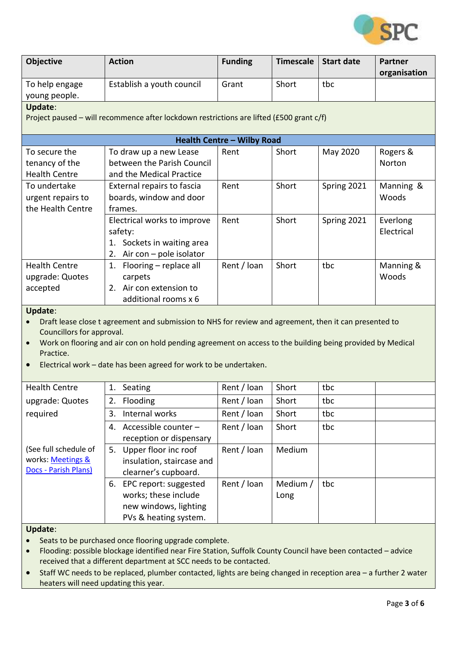

| <b>Objective</b>                                                  | <b>Action</b>                                                                                              | <b>Funding</b>                    | <b>Timescale</b> | <b>Start date</b> | <b>Partner</b> |
|-------------------------------------------------------------------|------------------------------------------------------------------------------------------------------------|-----------------------------------|------------------|-------------------|----------------|
|                                                                   |                                                                                                            | Grant                             | Short            | tbc               | organisation   |
| To help engage                                                    | Establish a youth council                                                                                  |                                   |                  |                   |                |
| young people.                                                     |                                                                                                            |                                   |                  |                   |                |
| <b>Update:</b>                                                    |                                                                                                            |                                   |                  |                   |                |
|                                                                   | Project paused - will recommence after lockdown restrictions are lifted (£500 grant c/f)                   |                                   |                  |                   |                |
|                                                                   |                                                                                                            | <b>Health Centre - Wilby Road</b> |                  |                   |                |
| To secure the                                                     | To draw up a new Lease                                                                                     | Rent                              | Short            | May 2020          | Rogers &       |
| tenancy of the                                                    | between the Parish Council                                                                                 |                                   |                  |                   | Norton         |
| <b>Health Centre</b>                                              | and the Medical Practice                                                                                   |                                   |                  |                   |                |
| To undertake                                                      | External repairs to fascia                                                                                 | Rent                              | Short            | Spring 2021       | Manning &      |
| urgent repairs to                                                 | boards, window and door                                                                                    |                                   |                  |                   | Woods          |
| the Health Centre                                                 | frames.                                                                                                    |                                   |                  |                   |                |
|                                                                   | Electrical works to improve                                                                                | Rent                              | Short            | Spring 2021       | Everlong       |
|                                                                   | safety:                                                                                                    |                                   |                  |                   | Electrical     |
|                                                                   | 1. Sockets in waiting area                                                                                 |                                   |                  |                   |                |
|                                                                   | 2. Air con $-$ pole isolator                                                                               |                                   |                  |                   |                |
| <b>Health Centre</b>                                              | 1. Flooring - replace all                                                                                  | Rent / loan                       | Short            | tbc               | Manning &      |
| upgrade: Quotes                                                   | carpets                                                                                                    |                                   |                  |                   | Woods          |
| accepted                                                          | 2. Air con extension to                                                                                    |                                   |                  |                   |                |
|                                                                   | additional rooms x 6                                                                                       |                                   |                  |                   |                |
| Update:                                                           |                                                                                                            |                                   |                  |                   |                |
| $\bullet$                                                         | Draft lease close t agreement and submission to NHS for review and agreement, then it can presented to     |                                   |                  |                   |                |
|                                                                   | Councillors for approval.                                                                                  |                                   |                  |                   |                |
| $\bullet$                                                         | Work on flooring and air con on hold pending agreement on access to the building being provided by Medical |                                   |                  |                   |                |
| Practice.                                                         |                                                                                                            |                                   |                  |                   |                |
| Electrical work - date has been agreed for work to be undertaken. |                                                                                                            |                                   |                  |                   |                |

| <b>Health Centre</b>  | 1. | Seating                   | Rent / Ioan | Short    | tbc |  |
|-----------------------|----|---------------------------|-------------|----------|-----|--|
| upgrade: Quotes       | 2. | Flooding                  | Rent / Ioan | Short    | tbc |  |
| required              | 3. | Internal works            | Rent / Ioan | Short    | tbc |  |
|                       | 4. | Accessible counter -      | Rent / loan | Short    | tbc |  |
|                       |    | reception or dispensary   |             |          |     |  |
| (See full schedule of | 5. | Upper floor inc roof      | Rent / Ioan | Medium   |     |  |
| works: Meetings &     |    | insulation, staircase and |             |          |     |  |
| Docs - Parish Plans)  |    | clearner's cupboard.      |             |          |     |  |
|                       | 6. | EPC report: suggested     | Rent / Ioan | Medium / | tbc |  |
|                       |    | works; these include      |             | Long     |     |  |
|                       |    | new windows, lighting     |             |          |     |  |
|                       |    | PVs & heating system.     |             |          |     |  |

- Seats to be purchased once flooring upgrade complete.
- Flooding: possible blockage identified near Fire Station, Suffolk County Council have been contacted advice received that a different department at SCC needs to be contacted.
- Staff WC needs to be replaced, plumber contacted, lights are being changed in reception area a further 2 water heaters will need updating this year.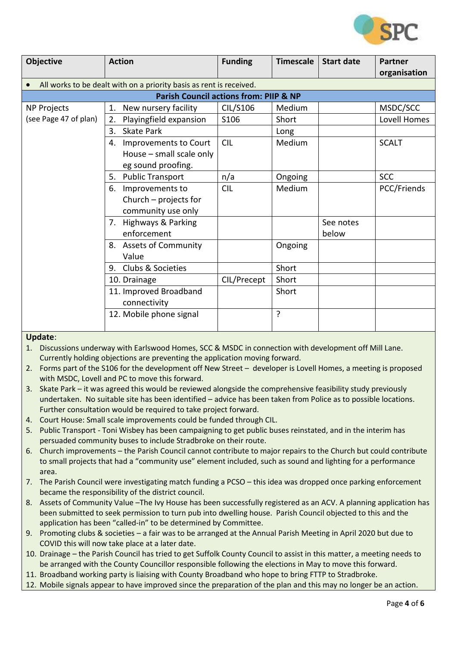

| <b>Objective</b>      | <b>Action</b>                                                       | <b>Funding</b> | <b>Timescale</b> | <b>Start date</b> | <b>Partner</b> |  |  |
|-----------------------|---------------------------------------------------------------------|----------------|------------------|-------------------|----------------|--|--|
|                       |                                                                     |                |                  |                   | organisation   |  |  |
|                       | All works to be dealt with on a priority basis as rent is received. |                |                  |                   |                |  |  |
|                       | Parish Council actions from: PIIP & NP                              |                |                  |                   |                |  |  |
| <b>NP Projects</b>    | New nursery facility<br>1.                                          | CIL/S106       | Medium           |                   | MSDC/SCC       |  |  |
| (see Page 47 of plan) | Playingfield expansion<br>2.                                        | S106           | Short            |                   | Lovell Homes   |  |  |
|                       | <b>Skate Park</b><br>3.                                             |                | Long             |                   |                |  |  |
|                       | Improvements to Court<br>4.                                         | <b>CIL</b>     | Medium           |                   | <b>SCALT</b>   |  |  |
|                       | House - small scale only                                            |                |                  |                   |                |  |  |
|                       | eg sound proofing.                                                  |                |                  |                   |                |  |  |
|                       | <b>Public Transport</b><br>5.                                       | n/a            | Ongoing          |                   | <b>SCC</b>     |  |  |
|                       | 6. Improvements to                                                  | <b>CIL</b>     | Medium           |                   | PCC/Friends    |  |  |
|                       | Church $-$ projects for                                             |                |                  |                   |                |  |  |
|                       | community use only                                                  |                |                  |                   |                |  |  |
|                       | 7. Highways & Parking                                               |                |                  | See notes         |                |  |  |
|                       | enforcement                                                         |                |                  | below             |                |  |  |
|                       | 8. Assets of Community                                              |                | Ongoing          |                   |                |  |  |
|                       | Value                                                               |                |                  |                   |                |  |  |
|                       | Clubs & Societies<br>9.                                             |                | Short            |                   |                |  |  |
|                       | 10. Drainage                                                        | CIL/Precept    | Short            |                   |                |  |  |
|                       | 11. Improved Broadband                                              |                | Short            |                   |                |  |  |
|                       | connectivity                                                        |                |                  |                   |                |  |  |
|                       | 12. Mobile phone signal                                             |                | ŗ                |                   |                |  |  |
|                       |                                                                     |                |                  |                   |                |  |  |

- 1. Discussions underway with Earlswood Homes, SCC & MSDC in connection with development off Mill Lane. Currently holding objections are preventing the application moving forward.
- 2. Forms part of the S106 for the development off New Street developer is Lovell Homes, a meeting is proposed with MSDC, Lovell and PC to move this forward.
- 3. Skate Park it was agreed this would be reviewed alongside the comprehensive feasibility study previously undertaken. No suitable site has been identified – advice has been taken from Police as to possible locations. Further consultation would be required to take project forward.
- 4. Court House: Small scale improvements could be funded through CIL.
- 5. Public Transport Toni Wisbey has been campaigning to get public buses reinstated, and in the interim has persuaded community buses to include Stradbroke on their route.
- 6. Church improvements the Parish Council cannot contribute to major repairs to the Church but could contribute to small projects that had a "community use" element included, such as sound and lighting for a performance area.
- 7. The Parish Council were investigating match funding a PCSO this idea was dropped once parking enforcement became the responsibility of the district council.
- 8. Assets of Community Value –The Ivy House has been successfully registered as an ACV. A planning application has been submitted to seek permission to turn pub into dwelling house. Parish Council objected to this and the application has been "called-in" to be determined by Committee.
- 9. Promoting clubs & societies a fair was to be arranged at the Annual Parish Meeting in April 2020 but due to COVID this will now take place at a later date.
- 10. Drainage the Parish Council has tried to get Suffolk County Council to assist in this matter, a meeting needs to be arranged with the County Councillor responsible following the elections in May to move this forward.
- 11. Broadband working party is liaising with County Broadband who hope to bring FTTP to Stradbroke.
- 12. Mobile signals appear to have improved since the preparation of the plan and this may no longer be an action.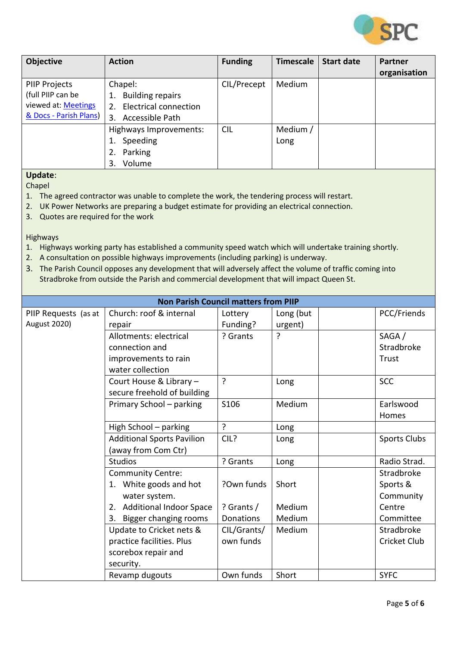

| <b>Objective</b>                                                                           | <b>Action</b>                                                                                    | <b>Funding</b> | <b>Timescale</b> | <b>Start date</b> | <b>Partner</b><br>organisation |
|--------------------------------------------------------------------------------------------|--------------------------------------------------------------------------------------------------|----------------|------------------|-------------------|--------------------------------|
| <b>PIIP Projects</b><br>(full PIIP can be<br>viewed at: Meetings<br>& Docs - Parish Plans) | Chapel:<br><b>Building repairs</b><br>1.<br>Electrical connection<br>2.<br>Accessible Path<br>3. | CIL/Precept    | Medium           |                   |                                |
|                                                                                            | Highways Improvements:<br>Speeding<br>Parking<br>2.<br>Volume<br>3.                              | <b>CIL</b>     | Medium /<br>Long |                   |                                |

Chapel

- 1. The agreed contractor was unable to complete the work, the tendering process will restart.
- 2. UK Power Networks are preparing a budget estimate for providing an electrical connection.
- 3. Quotes are required for the work

Highways

- 1. Highways working party has established a community speed watch which will undertake training shortly.
- 2. A consultation on possible highways improvements (including parking) is underway.
- 3. The Parish Council opposes any development that will adversely affect the volume of traffic coming into Stradbroke from outside the Parish and commercial development that will impact Queen St.

| <b>Non Parish Council matters from PIIP</b> |                                      |                  |           |                     |  |  |
|---------------------------------------------|--------------------------------------|------------------|-----------|---------------------|--|--|
| PIIP Requests (as at                        | Church: roof & internal              | Lottery          | Long (but | PCC/Friends         |  |  |
| <b>August 2020)</b>                         | repair                               | Funding?         | urgent)   |                     |  |  |
|                                             | Allotments: electrical               | ? Grants         | ?         | SAGA /              |  |  |
|                                             | connection and                       |                  |           | Stradbroke          |  |  |
|                                             | improvements to rain                 |                  |           | Trust               |  |  |
|                                             | water collection                     |                  |           |                     |  |  |
|                                             | Court House & Library -              | ?                | Long      | <b>SCC</b>          |  |  |
|                                             | secure freehold of building          |                  |           |                     |  |  |
|                                             | Primary School - parking             | S106             | Medium    | Earlswood           |  |  |
|                                             |                                      |                  |           | Homes               |  |  |
|                                             | High School - parking                | ?                | Long      |                     |  |  |
|                                             | <b>Additional Sports Pavilion</b>    | CIL?             | Long      | Sports Clubs        |  |  |
|                                             | (away from Com Ctr)                  |                  |           |                     |  |  |
|                                             | <b>Studios</b>                       | ? Grants         | Long      | Radio Strad.        |  |  |
|                                             | <b>Community Centre:</b>             |                  |           | Stradbroke          |  |  |
|                                             | 1. White goods and hot               | ?Own funds       | Short     | Sports &            |  |  |
|                                             | water system.                        |                  |           | Community           |  |  |
|                                             | <b>Additional Indoor Space</b><br>2. | ? Grants $/$     | Medium    | Centre              |  |  |
|                                             | 3. Bigger changing rooms             | <b>Donations</b> | Medium    | Committee           |  |  |
|                                             | Update to Cricket nets &             | CIL/Grants/      | Medium    | Stradbroke          |  |  |
|                                             | practice facilities. Plus            | own funds        |           | <b>Cricket Club</b> |  |  |
|                                             | scorebox repair and                  |                  |           |                     |  |  |
|                                             | security.                            |                  |           |                     |  |  |
|                                             | Revamp dugouts                       | Own funds        | Short     | <b>SYFC</b>         |  |  |